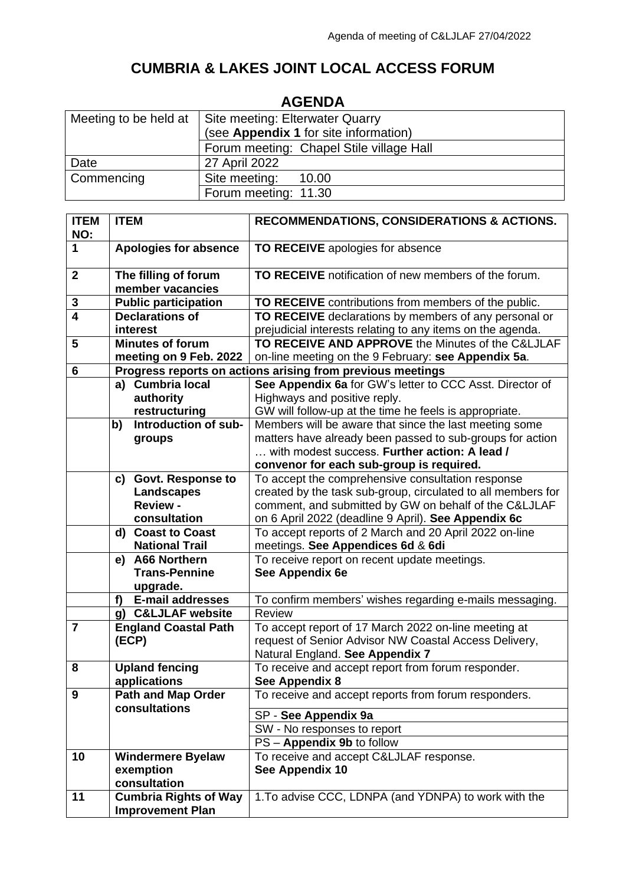## **CUMBRIA & LAKES JOINT LOCAL ACCESS FORUM**

| AGENDA                |                                          |  |  |  |
|-----------------------|------------------------------------------|--|--|--|
| Meeting to be held at | Site meeting: Elterwater Quarry          |  |  |  |
|                       | (see Appendix 1 for site information)    |  |  |  |
|                       | Forum meeting: Chapel Stile village Hall |  |  |  |
| Date                  | 27 April 2022                            |  |  |  |
| Commencing            | Site meeting:<br>10.00                   |  |  |  |
|                       | Forum meeting: 11.30                     |  |  |  |
|                       |                                          |  |  |  |

## **AGENDA**

| <b>ITEM</b>    | <b>ITEM</b>                      | RECOMMENDATIONS, CONSIDERATIONS & ACTIONS.                   |  |
|----------------|----------------------------------|--------------------------------------------------------------|--|
| NO:            |                                  |                                                              |  |
| 1              | <b>Apologies for absence</b>     | TO RECEIVE apologies for absence                             |  |
|                |                                  |                                                              |  |
| $\mathbf{2}$   | The filling of forum             | TO RECEIVE notification of new members of the forum.         |  |
|                | member vacancies                 |                                                              |  |
| 3              | <b>Public participation</b>      | TO RECEIVE contributions from members of the public.         |  |
| $\overline{4}$ | <b>Declarations of</b>           | TO RECEIVE declarations by members of any personal or        |  |
|                | interest                         | prejudicial interests relating to any items on the agenda.   |  |
| 5              | Minutes of forum                 | TO RECEIVE AND APPROVE the Minutes of the C&LJLAF            |  |
|                | meeting on 9 Feb. 2022           | on-line meeting on the 9 February: see Appendix 5a.          |  |
| 6              |                                  | Progress reports on actions arising from previous meetings   |  |
|                | a) Cumbria local                 | See Appendix 6a for GW's letter to CCC Asst. Director of     |  |
|                | authority                        | Highways and positive reply.                                 |  |
|                | restructuring                    |                                                              |  |
|                |                                  | GW will follow-up at the time he feels is appropriate.       |  |
|                | Introduction of sub-<br>b)       | Members will be aware that since the last meeting some       |  |
|                | groups                           | matters have already been passed to sub-groups for action    |  |
|                |                                  | with modest success. Further action: A lead /                |  |
|                |                                  | convenor for each sub-group is required.                     |  |
|                | c) Govt. Response to             | To accept the comprehensive consultation response            |  |
|                | Landscapes                       | created by the task sub-group, circulated to all members for |  |
|                | <b>Review -</b>                  | comment, and submitted by GW on behalf of the C&LJLAF        |  |
|                | consultation                     | on 6 April 2022 (deadline 9 April). See Appendix 6c          |  |
|                | d) Coast to Coast                | To accept reports of 2 March and 20 April 2022 on-line       |  |
|                | <b>National Trail</b>            | meetings. See Appendices 6d & 6di                            |  |
|                | e) A66 Northern                  | To receive report on recent update meetings.                 |  |
|                | <b>Trans-Pennine</b>             | See Appendix 6e                                              |  |
|                | upgrade.                         |                                                              |  |
|                | <b>E-mail addresses</b><br>f     | To confirm members' wishes regarding e-mails messaging.      |  |
|                | <b>C&amp;LJLAF website</b><br>g) | Review                                                       |  |
| $\overline{7}$ | <b>England Coastal Path</b>      | To accept report of 17 March 2022 on-line meeting at         |  |
|                | (ECP)                            | request of Senior Advisor NW Coastal Access Delivery,        |  |
|                |                                  | Natural England. See Appendix 7                              |  |
| 8              | <b>Upland fencing</b>            | To receive and accept report from forum responder.           |  |
|                | applications                     | See Appendix 8                                               |  |
| 9              | <b>Path and Map Order</b>        | To receive and accept reports from forum responders.         |  |
|                | consultations                    | SP - See Appendix 9a                                         |  |
|                |                                  | SW - No responses to report                                  |  |
|                |                                  | PS - Appendix 9b to follow                                   |  |
| 10             | <b>Windermere Byelaw</b>         | To receive and accept C&LJLAF response.                      |  |
|                | exemption                        | See Appendix 10                                              |  |
|                | consultation                     |                                                              |  |
| 11             | <b>Cumbria Rights of Way</b>     | 1. To advise CCC, LDNPA (and YDNPA) to work with the         |  |
|                | <b>Improvement Plan</b>          |                                                              |  |
|                |                                  |                                                              |  |